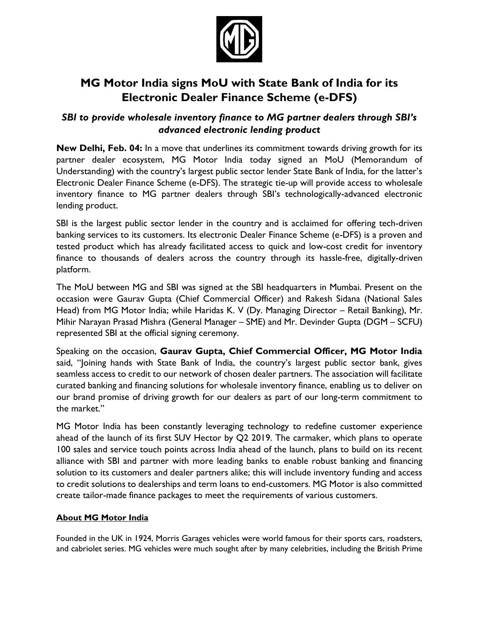

## **MG Motor India signs MoU with State Bank of India for its Electronic Dealer Finance Scheme (e-DFS)**

## *SBI to provide wholesale inventory finance to MG partner dealers through SBI's advanced electronic lending product*

**New Delhi, Feb. 04:** In a move that underlines its commitment towards driving growth for its partner dealer ecosystem, MG Motor India today signed an MoU (Memorandum of Understanding) with the country's largest public sector lender State Bank of India, for the latter's Electronic Dealer Finance Scheme (e-DFS). The strategic tie-up will provide access to wholesale inventory finance to MG partner dealers through SBI's technologically-advanced electronic lending product.

SBI is the largest public sector lender in the country and is acclaimed for offering tech-driven banking services to its customers. Its electronic Dealer Finance Scheme (e-DFS) is a proven and tested product which has already facilitated access to quick and low-cost credit for inventory finance to thousands of dealers across the country through its hassle-free, digitally-driven platform.

The MoU between MG and SBI was signed at the SBI headquarters in Mumbai. Present on the occasion were Gaurav Gupta (Chief Commercial Officer) and Rakesh Sidana (National Sales Head) from MG Motor India; while Haridas K. V (Dy. Managing Director – Retail Banking), Mr. Mihir Narayan Prasad Mishra (General Manager – SME) and Mr. Devinder Gupta (DGM – SCFU) represented SBI at the official signing ceremony.

Speaking on the occasion, **Gaurav Gupta, Chief Commercial Officer, MG Motor India** said, "Joining hands with State Bank of India, the country's largest public sector bank, gives seamless access to credit to our network of chosen dealer partners. The association will facilitate curated banking and financing solutions for wholesale inventory finance, enabling us to deliver on our brand promise of driving growth for our dealers as part of our long-term commitment to the market."

MG Motor India has been constantly leveraging technology to redefine customer experience ahead of the launch of its first SUV Hector by Q2 2019. The carmaker, which plans to operate 100 sales and service touch points across India ahead of the launch, plans to build on its recent alliance with SBI and partner with more leading banks to enable robust banking and financing solution to its customers and dealer partners alike; this will include inventory funding and access to credit solutions to dealerships and term loans to end-customers. MG Motor is also committed create tailor-made finance packages to meet the requirements of various customers.

## **About MG Motor India**

Founded in the UK in 1924, Morris Garages vehicles were world famous for their sports cars, roadsters, and cabriolet series. MG vehicles were much sought after by many celebrities, including the British Prime